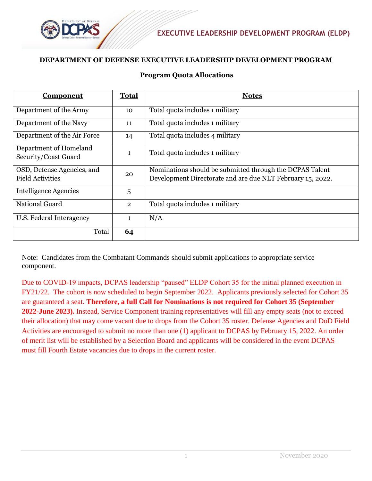

## **DEPARTMENT OF DEFENSE EXECUTIVE LEADERSHIP DEVELOPMENT PROGRAM**

## **Program Quota Allocations**

| <b>Component</b>                                      | <b>Total</b>   | <b>Notes</b>                                                                                                           |
|-------------------------------------------------------|----------------|------------------------------------------------------------------------------------------------------------------------|
| Department of the Army                                | 10             | Total quota includes 1 military                                                                                        |
| Department of the Navy                                | 11             | Total quota includes 1 military                                                                                        |
| Department of the Air Force                           | 14             | Total quota includes 4 military                                                                                        |
| Department of Homeland<br>Security/Coast Guard        | $\mathbf{1}$   | Total quota includes 1 military                                                                                        |
| OSD, Defense Agencies, and<br><b>Field Activities</b> | 20             | Nominations should be submitted through the DCPAS Talent<br>Development Directorate and are due NLT February 15, 2022. |
| Intelligence Agencies                                 | 5              |                                                                                                                        |
| National Guard                                        | $\overline{2}$ | Total quota includes 1 military                                                                                        |
| U.S. Federal Interagency                              | $\mathbf{1}$   | N/A                                                                                                                    |
| Total                                                 | 64             |                                                                                                                        |

Note: Candidates from the Combatant Commands should submit applications to appropriate service component.

Due to COVID-19 impacts, DCPAS leadership "paused" ELDP Cohort 35 for the initial planned execution in FY21/22. The cohort is now scheduled to begin September 2022. Applicants previously selected for Cohort 35 are guaranteed a seat. **Therefore, a full Call for Nominations is not required for Cohort 35 (September 2022-June 2023).** Instead, Service Component training representatives will fill any empty seats (not to exceed their allocation) that may come vacant due to drops from the Cohort 35 roster. Defense Agencies and DoD Field Activities are encouraged to submit no more than one (1) applicant to DCPAS by February 15, 2022. An order of merit list will be established by a Selection Board and applicants will be considered in the event DCPAS must fill Fourth Estate vacancies due to drops in the current roster.